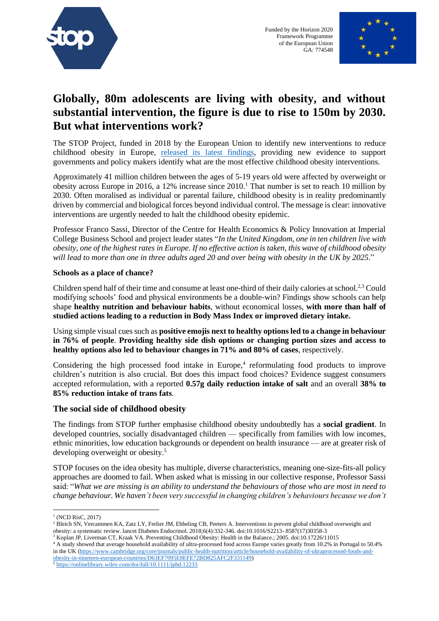

Funded by the Horizon 2020 Framework Programme of the European Union GA: 774548



## **Globally, 80m adolescents are living with obesity, and without substantial intervention, the figure is due to rise to 150m by 2030. But what interventions work?**

The STOP Project, funded in 2018 by the European Union to identify new interventions to reduce childhood obesity in Europe, [released its latest findings,](https://onlinelibrary.wiley.com/toc/1467789x/2021/22/2) providing new evidence to support governments and policy makers identify what are the most effective childhood obesity interventions.

Approximately 41 million children between the ages of 5-19 years old were affected by overweight or obesity across Europe in 2016, a 12% increase since 2010.<sup>1</sup> That number is set to reach 10 million by 2030. Often moralised as individual or parental failure, childhood obesity is in reality predominantly driven by commercial and biological forces beyond individual control. The message is clear: innovative interventions are urgently needed to halt the childhood obesity epidemic.

Professor Franco Sassi, Director of the Centre for Health Economics & Policy Innovation at Imperial College Business School and project leader states "*In the United Kingdom, one in ten children live with obesity, one of the highest rates in Europe. If no effective action is taken, this wave of childhood obesity will lead to more than one in three adults aged 20 and over being with obesity in the UK by 2025*."

## **Schools as a place of chance?**

Children spend half of their time and consume at least one-third of their daily calories at school.2,3 Could modifying schools' food and physical environments be a double-win? Findings show schools can help shape **healthy nutrition and behaviour habits**, without economical losses, **with more than half of studied actions leading to a reduction in Body Mass Index or improved dietary intake.** 

Using simple visual cues such as **positive emojis next to healthy options led to a change in behaviour in 76% of people**. **Providing healthy side dish options or changing portion sizes and access to healthy options also led to behaviour changes in 71% and 80% of cases**, respectively.

Considering the high processed food intake in Europe,<sup>4</sup> reformulating food products to improve children's nutrition is also crucial. But does this impact food choices? Evidence suggest consumers accepted reformulation, with a reported **0.57g daily reduction intake of salt** and an overall **38% to 85% reduction intake of trans fats**.

## **The social side of childhood obesity**

The findings from STOP further emphasise childhood obesity undoubtedly has a **social gradient**. In developed countries, socially disadvantaged children — specifically from families with low incomes, ethnic minorities, low education backgrounds or dependent on health insurance — are at greater risk of developing overweight or obesity.<sup>5</sup>

STOP focuses on the idea obesity has multiple, diverse characteristics, meaning one-size-fits-all policy approaches are doomed to fail. When asked what is missing in our collective response, Professor Sassi said: "*What we are missing is an ability to understand the behaviours of those who are most in need to change behaviour. We haven't been very successful in changing children's behaviours because we don't* 

<sup>3</sup> Koplan JP, Liverman CT, Kraak VA. Preventing Childhood Obesity: Health in the Balance.; 2005. doi:10.17226/11015

[obesity-in-nineteen-european-countries/D63EF7095E8EFE72BD825AFC2F331149\)](https://www.cambridge.org/core/journals/public-health-nutrition/article/household-availability-of-ultraprocessed-foods-and-obesity-in-nineteen-european-countries/D63EF7095E8EFE72BD825AFC2F331149) <sup>5</sup> <https://onlinelibrary.wiley.com/doi/full/10.1111/jphd.12233>

<sup>&</sup>lt;sup>1</sup> (NCD RisC, 2017)

<sup>&</sup>lt;sup>2</sup> Bleich SN, Vercammen KA, Zatz LY, Frelier JM, Ebbeling CB, Peeters A. Interventions to prevent global childhood overweight and obesity: a systematic review. lancet Diabetes Endocrinol. 2018;6(4):332-346. doi:10.1016/S2213- 8587(17)30358-3

<sup>&</sup>lt;sup>4</sup> A study showed that average household availability of ultra-processed food across Europe varies greatly from 10.2% in Portugal to 50.4% in the UK [\(https://www.cambridge.org/core/journals/public-health-nutrition/article/household-availability-of-ultraprocessed-foods-and-](https://www.cambridge.org/core/journals/public-health-nutrition/article/household-availability-of-ultraprocessed-foods-and-obesity-in-nineteen-european-countries/D63EF7095E8EFE72BD825AFC2F331149)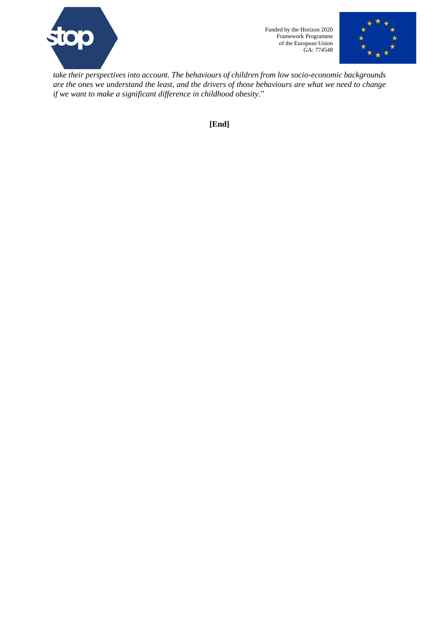

Funded by the Horizon 2020 Framework Programme of the European Union GA: 774548



*take their perspectives into account. The behaviours of children from low socio-economic backgrounds are the ones we understand the least, and the drivers of those behaviours are what we need to change if we want to make a significant difference in childhood obesity*."

**[End]**